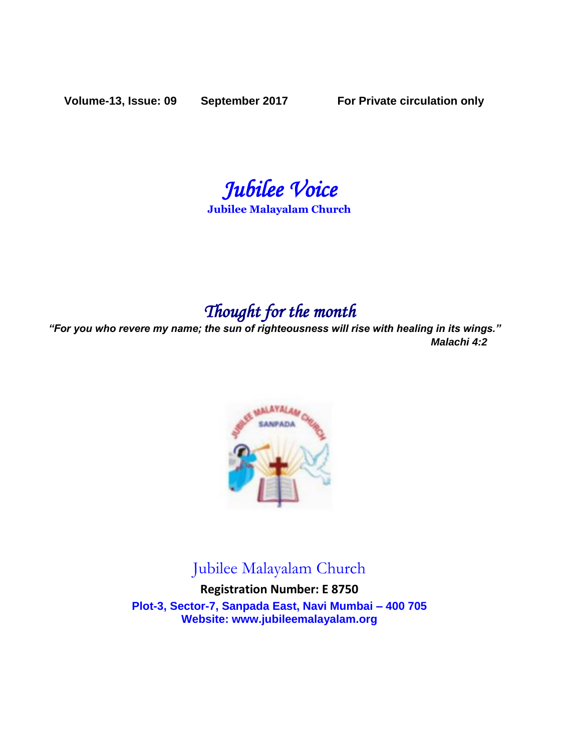**Volume-13, Issue: 09 September 2017 For Private circulation only**

*Jubilee Voice* 

**Jubilee Malayalam Church** 

# *Thought for the month*

*"For you who revere my name; the sun of righteousness will rise with healing in its wings." Malachi 4:2*



# Jubilee Malayalam Church

**Registration Number: E 8750 Plot-3, Sector-7, Sanpada East, Navi Mumbai – 400 705 Website: www.jubileemalayalam.org**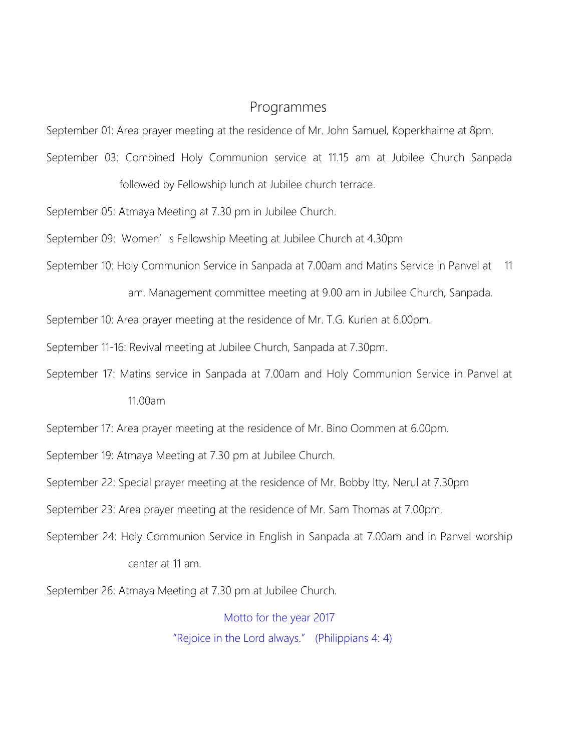## Programmes

September 01: Area prayer meeting at the residence of Mr. John Samuel, Koperkhairne at 8pm.

September 03: Combined Holy Communion service at 11.15 am at Jubilee Church Sanpada

followed by Fellowship lunch at Jubilee church terrace.

September 05: Atmaya Meeting at 7.30 pm in Jubilee Church.

September 09: Women's Fellowship Meeting at Jubilee Church at 4.30pm

- September 10: Holy Communion Service in Sanpada at 7.00am and Matins Service in Panvel at 11
	- am. Management committee meeting at 9.00 am in Jubilee Church, Sanpada.
- September 10: Area prayer meeting at the residence of Mr. T.G. Kurien at 6.00pm.
- September 11-16: Revival meeting at Jubilee Church, Sanpada at 7.30pm.
- September 17: Matins service in Sanpada at 7.00am and Holy Communion Service in Panvel at

11.00am

- September 17: Area prayer meeting at the residence of Mr. Bino Oommen at 6.00pm.
- September 19: Atmaya Meeting at 7.30 pm at Jubilee Church.
- September 22: Special prayer meeting at the residence of Mr. Bobby Itty, Nerul at 7.30pm
- September 23: Area prayer meeting at the residence of Mr. Sam Thomas at 7.00pm.
- September 24: Holy Communion Service in English in Sanpada at 7.00am and in Panvel worship center at 11 am.
- September 26: Atmaya Meeting at 7.30 pm at Jubilee Church.

Motto for the year 2017 "Rejoice in the Lord always." (Philippians 4: 4)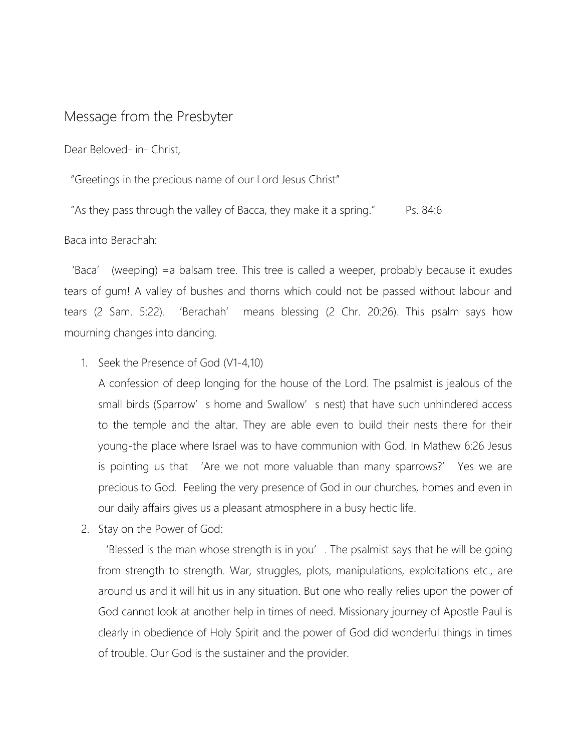## Message from the Presbyter

Dear Beloved- in- Christ,

"Greetings in the precious name of our Lord Jesus Christ"

"As they pass through the valley of Bacca, they make it a spring." Ps. 84:6

Baca into Berachah:

'Baca' (weeping) =a balsam tree. This tree is called a weeper, probably because it exudes tears of gum! A valley of bushes and thorns which could not be passed without labour and tears (2 Sam. 5:22). 'Berachah' means blessing (2 Chr. 20:26). This psalm says how mourning changes into dancing.

1. Seek the Presence of God (V1-4,10)

A confession of deep longing for the house of the Lord. The psalmist is jealous of the small birds (Sparrow's home and Swallow's nest) that have such unhindered access to the temple and the altar. They are able even to build their nests there for their young-the place where Israel was to have communion with God. In Mathew 6:26 Jesus is pointing us that 'Are we not more valuable than many sparrows?' Yes we are precious to God. Feeling the very presence of God in our churches, homes and even in our daily affairs gives us a pleasant atmosphere in a busy hectic life.

2. Stay on the Power of God:

'Blessed is the man whose strength is in you'. The psalmist says that he will be going from strength to strength. War, struggles, plots, manipulations, exploitations etc., are around us and it will hit us in any situation. But one who really relies upon the power of God cannot look at another help in times of need. Missionary journey of Apostle Paul is clearly in obedience of Holy Spirit and the power of God did wonderful things in times of trouble. Our God is the sustainer and the provider.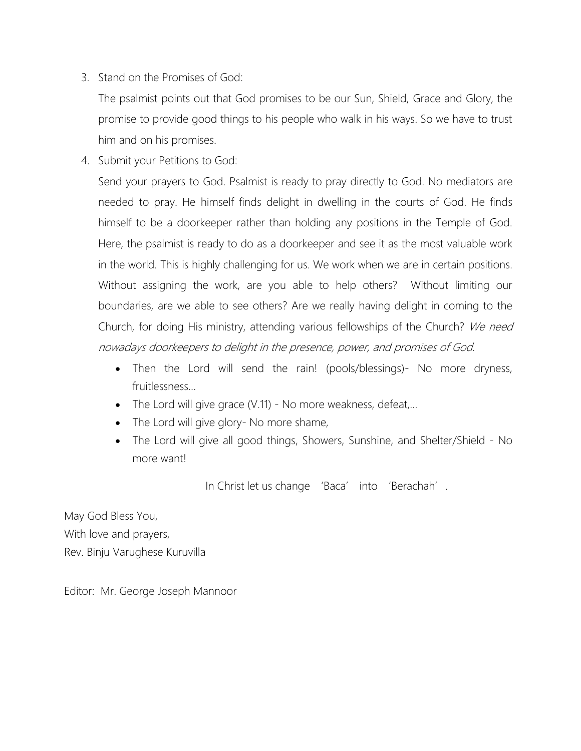3. Stand on the Promises of God:

The psalmist points out that God promises to be our Sun, Shield, Grace and Glory, the promise to provide good things to his people who walk in his ways. So we have to trust him and on his promises.

4. Submit your Petitions to God:

Send your prayers to God. Psalmist is ready to pray directly to God. No mediators are needed to pray. He himself finds delight in dwelling in the courts of God. He finds himself to be a doorkeeper rather than holding any positions in the Temple of God. Here, the psalmist is ready to do as a doorkeeper and see it as the most valuable work in the world. This is highly challenging for us. We work when we are in certain positions. Without assigning the work, are you able to help others? Without limiting our boundaries, are we able to see others? Are we really having delight in coming to the Church, for doing His ministry, attending various fellowships of the Church? We need nowadays doorkeepers to delight in the presence, power, and promises of God.

- Then the Lord will send the rain! (pools/blessings)- No more dryness, fruitlessness…
- The Lord will give grace (V.11) No more weakness, defeat,...
- The Lord will give glory- No more shame,
- The Lord will give all good things, Showers, Sunshine, and Shelter/Shield No more want!

In Christ let us change 'Baca' into 'Berachah'.

May God Bless You, With love and prayers, Rev. Binju Varughese Kuruvilla

Editor: Mr. George Joseph Mannoor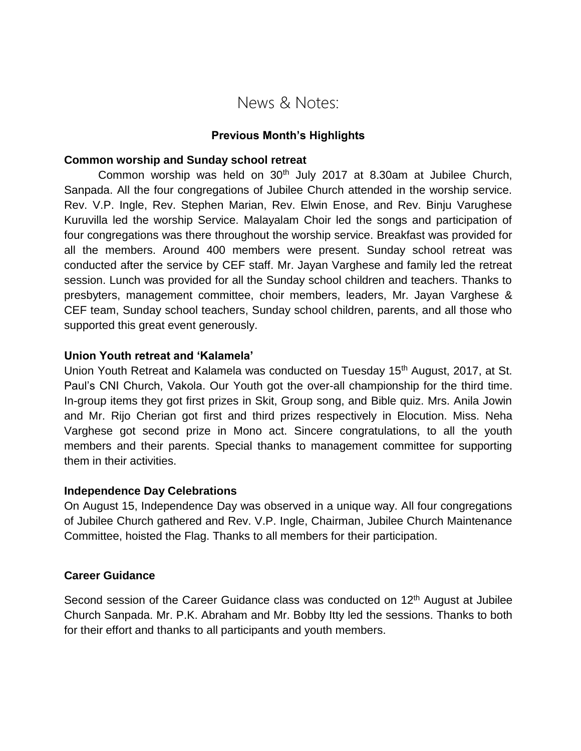# News & Notes:

#### **Previous Month's Highlights**

#### **Common worship and Sunday school retreat**

Common worship was held on  $30<sup>th</sup>$  July 2017 at 8.30am at Jubilee Church, Sanpada. All the four congregations of Jubilee Church attended in the worship service. Rev. V.P. Ingle, Rev. Stephen Marian, Rev. Elwin Enose, and Rev. Binju Varughese Kuruvilla led the worship Service. Malayalam Choir led the songs and participation of four congregations was there throughout the worship service. Breakfast was provided for all the members. Around 400 members were present. Sunday school retreat was conducted after the service by CEF staff. Mr. Jayan Varghese and family led the retreat session. Lunch was provided for all the Sunday school children and teachers. Thanks to presbyters, management committee, choir members, leaders, Mr. Jayan Varghese & CEF team, Sunday school teachers, Sunday school children, parents, and all those who supported this great event generously.

#### **Union Youth retreat and 'Kalamela'**

Union Youth Retreat and Kalamela was conducted on Tuesday 15<sup>th</sup> August, 2017, at St. Paul's CNI Church, Vakola. Our Youth got the over-all championship for the third time. In-group items they got first prizes in Skit, Group song, and Bible quiz. Mrs. Anila Jowin and Mr. Rijo Cherian got first and third prizes respectively in Elocution. Miss. Neha Varghese got second prize in Mono act. Sincere congratulations, to all the youth members and their parents. Special thanks to management committee for supporting them in their activities.

#### **Independence Day Celebrations**

On August 15, Independence Day was observed in a unique way. All four congregations of Jubilee Church gathered and Rev. V.P. Ingle, Chairman, Jubilee Church Maintenance Committee, hoisted the Flag. Thanks to all members for their participation.

#### **Career Guidance**

Second session of the Career Guidance class was conducted on  $12<sup>th</sup>$  August at Jubilee Church Sanpada. Mr. P.K. Abraham and Mr. Bobby Itty led the sessions. Thanks to both for their effort and thanks to all participants and youth members.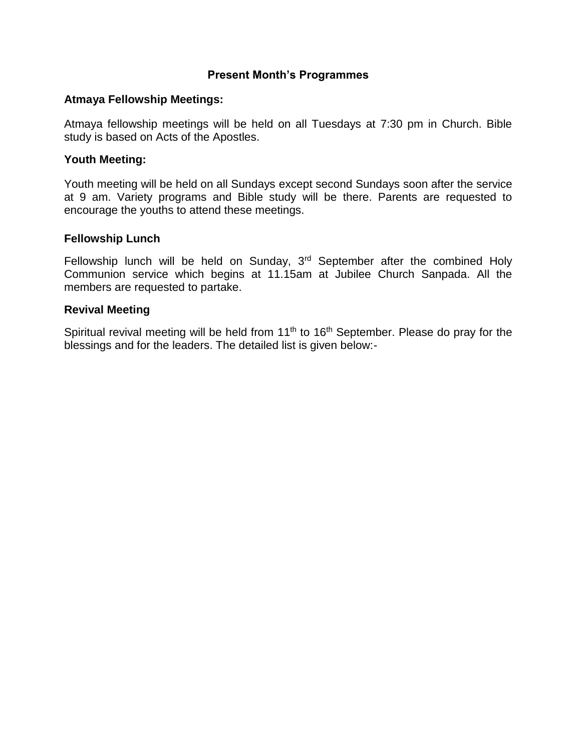#### **Present Month's Programmes**

#### **Atmaya Fellowship Meetings:**

Atmaya fellowship meetings will be held on all Tuesdays at 7:30 pm in Church. Bible study is based on Acts of the Apostles.

#### **Youth Meeting:**

Youth meeting will be held on all Sundays except second Sundays soon after the service at 9 am. Variety programs and Bible study will be there. Parents are requested to encourage the youths to attend these meetings.

#### **Fellowship Lunch**

Fellowship lunch will be held on Sunday, 3<sup>rd</sup> September after the combined Holy Communion service which begins at 11.15am at Jubilee Church Sanpada. All the members are requested to partake.

#### **Revival Meeting**

Spiritual revival meeting will be held from 11<sup>th</sup> to 16<sup>th</sup> September. Please do pray for the blessings and for the leaders. The detailed list is given below:-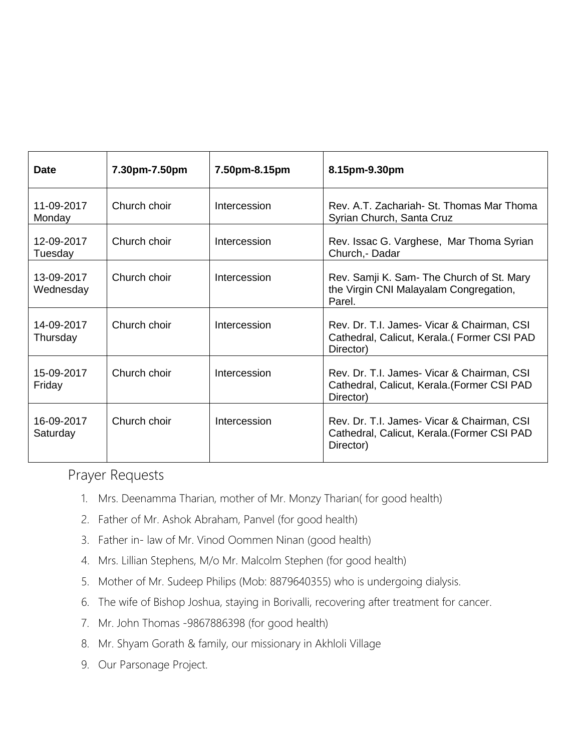| <b>Date</b>             | 7.30pm-7.50pm | 7.50pm-8.15pm | 8.15pm-9.30pm                                                                                          |
|-------------------------|---------------|---------------|--------------------------------------------------------------------------------------------------------|
| 11-09-2017<br>Monday    | Church choir  | Intercession  | Rev. A.T. Zachariah- St. Thomas Mar Thoma<br>Syrian Church, Santa Cruz                                 |
| 12-09-2017<br>Tuesday   | Church choir  | Intercession  | Rev. Issac G. Varghese, Mar Thoma Syrian<br>Church, - Dadar                                            |
| 13-09-2017<br>Wednesday | Church choir  | Intercession  | Rev. Samji K. Sam- The Church of St. Mary<br>the Virgin CNI Malayalam Congregation,<br>Parel.          |
| 14-09-2017<br>Thursday  | Church choir  | Intercession  | Rev. Dr. T.I. James- Vicar & Chairman, CSI<br>Cathedral, Calicut, Kerala. (Former CSI PAD<br>Director) |
| 15-09-2017<br>Friday    | Church choir  | Intercession  | Rev. Dr. T.I. James- Vicar & Chairman, CSI<br>Cathedral, Calicut, Kerala. (Former CSI PAD<br>Director) |
| 16-09-2017<br>Saturday  | Church choir  | Intercession  | Rev. Dr. T.I. James- Vicar & Chairman, CSI<br>Cathedral, Calicut, Kerala. (Former CSI PAD<br>Director) |

## Prayer Requests

- 1. Mrs. Deenamma Tharian, mother of Mr. Monzy Tharian( for good health)
- 2. Father of Mr. Ashok Abraham, Panvel (for good health)
- 3. Father in- law of Mr. Vinod Oommen Ninan (good health)
- 4. Mrs. Lillian Stephens, M/o Mr. Malcolm Stephen (for good health)
- 5. Mother of Mr. Sudeep Philips (Mob: 8879640355) who is undergoing dialysis.
- 6. The wife of Bishop Joshua, staying in Borivalli, recovering after treatment for cancer.
- 7. Mr. John Thomas -9867886398 (for good health)
- 8. Mr. Shyam Gorath & family, our missionary in Akhloli Village
- 9. Our Parsonage Project.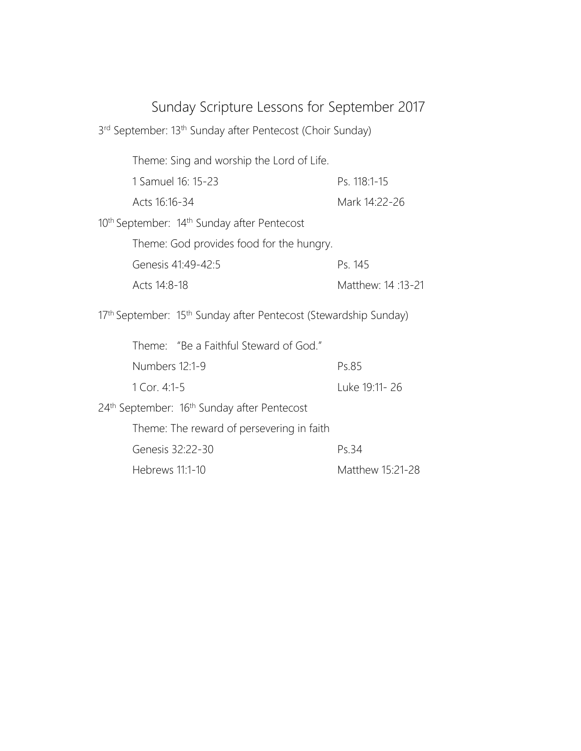# Sunday Scripture Lessons for September 2017

| 3rd September: 13th Sunday after Pentecost (Choir Sunday)           |                   |
|---------------------------------------------------------------------|-------------------|
| Theme: Sing and worship the Lord of Life.                           |                   |
| 1 Samuel 16: 15-23                                                  | Ps. 118:1-15      |
| Acts 16:16-34                                                       | Mark 14:22-26     |
| 10 <sup>th</sup> September: 14 <sup>th</sup> Sunday after Pentecost |                   |
| Theme: God provides food for the hungry.                            |                   |
| Genesis 41:49-42:5                                                  | Ps. 145           |
| Acts 14:8-18                                                        | Matthew: 14:13-21 |
| 17th September: 15th Sunday after Pentecost (Stewardship Sunday)    |                   |
| Theme: "Be a Faithful Steward of God."                              |                   |
| Numbers 12:1-9                                                      | Ps.85             |
| 1 Cor. 4:1-5                                                        | Luke 19:11-26     |
|                                                                     |                   |
| 24 <sup>th</sup> September: 16 <sup>th</sup> Sunday after Pentecost |                   |
| Theme: The reward of persevering in faith                           |                   |
| Genesis 32:22-30                                                    | Ps.34             |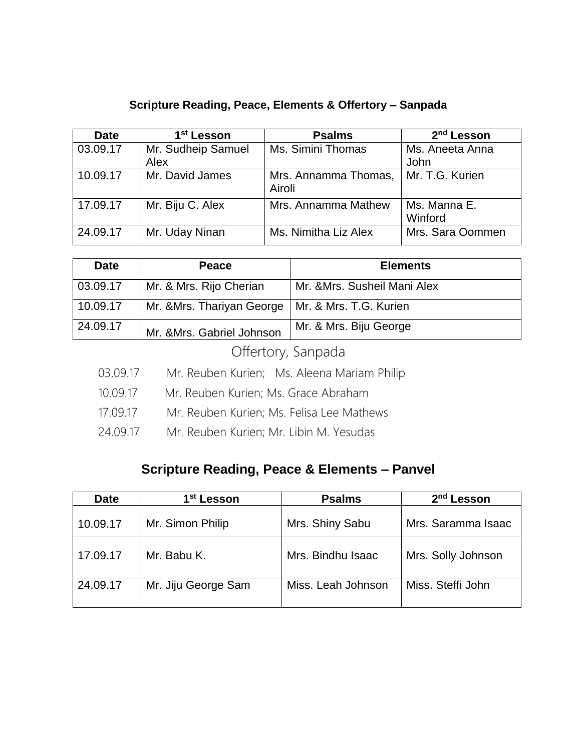## **Scripture Reading, Peace, Elements & Offertory – Sanpada**

| <b>Date</b> | 1 <sup>st</sup> Lesson | <b>Psalms</b>                  | 2 <sup>nd</sup> Lesson  |
|-------------|------------------------|--------------------------------|-------------------------|
| 03.09.17    | Mr. Sudheip Samuel     | Ms. Simini Thomas              | Ms. Aneeta Anna         |
|             | Alex                   |                                | John                    |
| 10.09.17    | Mr. David James        | Mrs. Annamma Thomas,<br>Airoli | Mr. T.G. Kurien         |
| 17.09.17    | Mr. Biju C. Alex       | Mrs. Annamma Mathew            | Ms. Manna E.<br>Winford |
| 24.09.17    | Mr. Uday Ninan         | Ms. Nimitha Liz Alex           | Mrs. Sara Oommen        |

| <b>Date</b> | <b>Peace</b>               | <b>Elements</b>              |
|-------------|----------------------------|------------------------------|
| 03.09.17    | Mr. & Mrs. Rijo Cherian    | Mr. & Mrs. Susheil Mani Alex |
| 10.09.17    | Mr. & Mrs. Thariyan George | Mr. & Mrs. T.G. Kurien       |
| 24.09.17    | Mr. & Mrs. Gabriel Johnson | Mr. & Mrs. Biju George       |

Offertory, Sanpada

- 03.09.17 Mr. Reuben Kurien; Ms. Aleena Mariam Philip
- 10.09.17 Mr. Reuben Kurien; Ms. Grace Abraham
- 17.09.17 Mr. Reuben Kurien; Ms. Felisa Lee Mathews
- 24.09.17 Mr. Reuben Kurien; Mr. Libin M. Yesudas

## **Scripture Reading, Peace & Elements – Panvel**

| <b>Date</b> | 1 <sup>st</sup> Lesson | <b>Psalms</b>      | 2 <sup>nd</sup> Lesson |
|-------------|------------------------|--------------------|------------------------|
| 10.09.17    | Mr. Simon Philip       | Mrs. Shiny Sabu    | Mrs. Saramma Isaac     |
| 17.09.17    | Mr. Babu K.            | Mrs. Bindhu Isaac  | Mrs. Solly Johnson     |
| 24.09.17    | Mr. Jiju George Sam    | Miss. Leah Johnson | Miss. Steffi John      |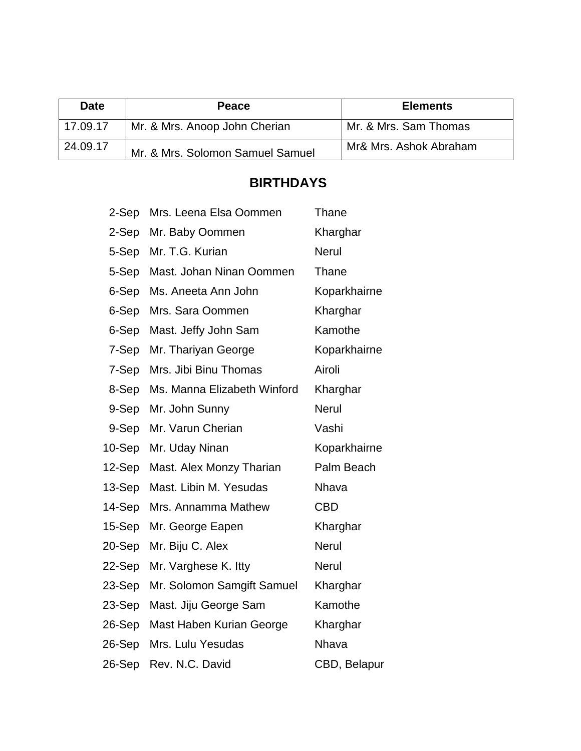| <b>Date</b> | Peace                            | <b>Elements</b>        |
|-------------|----------------------------------|------------------------|
| 17.09.17    | Mr. & Mrs. Anoop John Cherian    | Mr. & Mrs. Sam Thomas  |
| 24.09.17    | Mr. & Mrs. Solomon Samuel Samuel | Mr& Mrs. Ashok Abraham |

# **BIRTHDAYS**

| 2-Sep     | Mrs. Leena Elsa Oommen      | Thane        |
|-----------|-----------------------------|--------------|
| 2-Sep     | Mr. Baby Oommen             | Kharghar     |
| 5-Sep     | Mr. T.G. Kurian             | <b>Nerul</b> |
| 5-Sep     | Mast. Johan Ninan Oommen    | Thane        |
| 6-Sep     | Ms. Aneeta Ann John         | Koparkhairne |
| 6-Sep     | Mrs. Sara Oommen            | Kharghar     |
| 6-Sep     | Mast. Jeffy John Sam        | Kamothe      |
| 7-Sep     | Mr. Thariyan George         | Koparkhairne |
| 7-Sep     | Mrs. Jibi Binu Thomas       | Airoli       |
| 8-Sep     | Ms. Manna Elizabeth Winford | Kharghar     |
| 9-Sep     | Mr. John Sunny              | <b>Nerul</b> |
| 9-Sep     | Mr. Varun Cherian           | Vashi        |
|           |                             |              |
| $10-$ Sep | Mr. Uday Ninan              | Koparkhairne |
| 12-Sep    | Mast. Alex Monzy Tharian    | Palm Beach   |
| 13-Sep    | Mast. Libin M. Yesudas      | <b>Nhava</b> |
| 14-Sep    | Mrs. Annamma Mathew         | <b>CBD</b>   |
| 15-Sep    | Mr. George Eapen            | Kharghar     |
| 20-Sep    | Mr. Biju C. Alex            | <b>Nerul</b> |
| 22-Sep    | Mr. Varghese K. Itty        | <b>Nerul</b> |
| 23-Sep    | Mr. Solomon Samgift Samuel  | Kharghar     |
| 23-Sep    | Mast. Jiju George Sam       | Kamothe      |
| 26-Sep    | Mast Haben Kurian George    | Kharghar     |
| 26-Sep    | Mrs. Lulu Yesudas           | Nhava        |